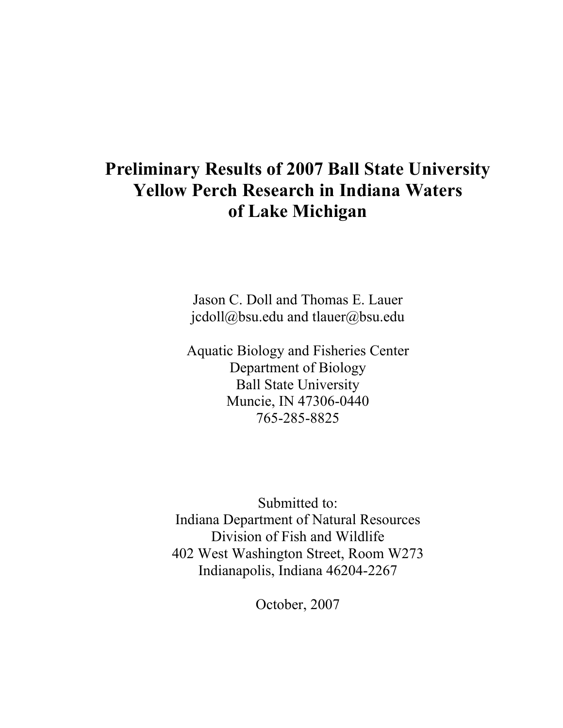# **Preliminary Results of 2007 Ball State University Yellow Perch Research in Indiana Waters of Lake Michigan**

Jason C. Doll and Thomas E. Lauer jcdoll@bsu.edu and tlauer@bsu.edu

Aquatic Biology and Fisheries Center Department of Biology Ball State University Muncie, IN 47306-0440 765-285-8825

Submitted to: Indiana Department of Natural Resources Division of Fish and Wildlife 402 West Washington Street, Room W273 Indianapolis, Indiana 46204-2267

October, 2007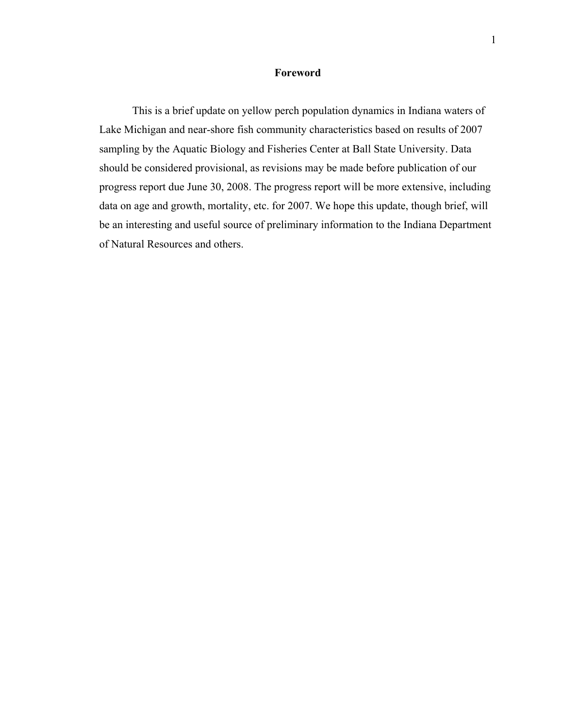### **Foreword**

 This is a brief update on yellow perch population dynamics in Indiana waters of Lake Michigan and near-shore fish community characteristics based on results of 2007 sampling by the Aquatic Biology and Fisheries Center at Ball State University. Data should be considered provisional, as revisions may be made before publication of our progress report due June 30, 2008. The progress report will be more extensive, including data on age and growth, mortality, etc. for 2007. We hope this update, though brief, will be an interesting and useful source of preliminary information to the Indiana Department of Natural Resources and others.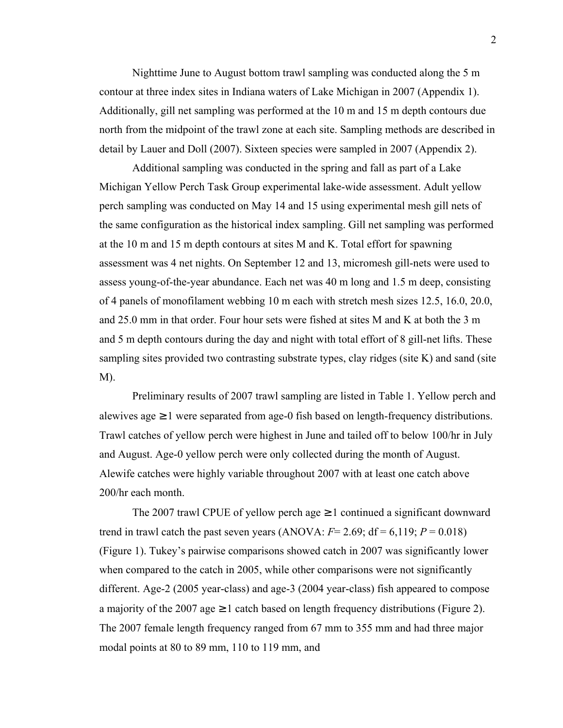Nighttime June to August bottom trawl sampling was conducted along the 5 m contour at three index sites in Indiana waters of Lake Michigan in 2007 (Appendix 1). Additionally, gill net sampling was performed at the 10 m and 15 m depth contours due north from the midpoint of the trawl zone at each site. Sampling methods are described in detail by Lauer and Doll (2007). Sixteen species were sampled in 2007 (Appendix 2).

 Additional sampling was conducted in the spring and fall as part of a Lake Michigan Yellow Perch Task Group experimental lake-wide assessment. Adult yellow perch sampling was conducted on May 14 and 15 using experimental mesh gill nets of the same configuration as the historical index sampling. Gill net sampling was performed at the 10 m and 15 m depth contours at sites M and K. Total effort for spawning assessment was 4 net nights. On September 12 and 13, micromesh gill-nets were used to assess young-of-the-year abundance. Each net was 40 m long and 1.5 m deep, consisting of 4 panels of monofilament webbing 10 m each with stretch mesh sizes 12.5, 16.0, 20.0, and 25.0 mm in that order. Four hour sets were fished at sites M and K at both the 3 m and 5 m depth contours during the day and night with total effort of 8 gill-net lifts. These sampling sites provided two contrasting substrate types, clay ridges (site K) and sand (site M).

 Preliminary results of 2007 trawl sampling are listed in Table 1. Yellow perch and alewives age  $\geq 1$  were separated from age-0 fish based on length-frequency distributions. Trawl catches of yellow perch were highest in June and tailed off to below 100/hr in July and August. Age-0 yellow perch were only collected during the month of August. Alewife catches were highly variable throughout 2007 with at least one catch above 200/hr each month.

The 2007 trawl CPUE of yellow perch age  $\geq 1$  continued a significant downward trend in trawl catch the past seven years (ANOVA:  $F=2.69$ ;  $df=6.119$ ;  $P=0.018$ ) (Figure 1). Tukey's pairwise comparisons showed catch in 2007 was significantly lower when compared to the catch in 2005, while other comparisons were not significantly different. Age-2 (2005 year-class) and age-3 (2004 year-class) fish appeared to compose a majority of the 2007 age  $\geq 1$  catch based on length frequency distributions (Figure 2). The 2007 female length frequency ranged from 67 mm to 355 mm and had three major modal points at 80 to 89 mm, 110 to 119 mm, and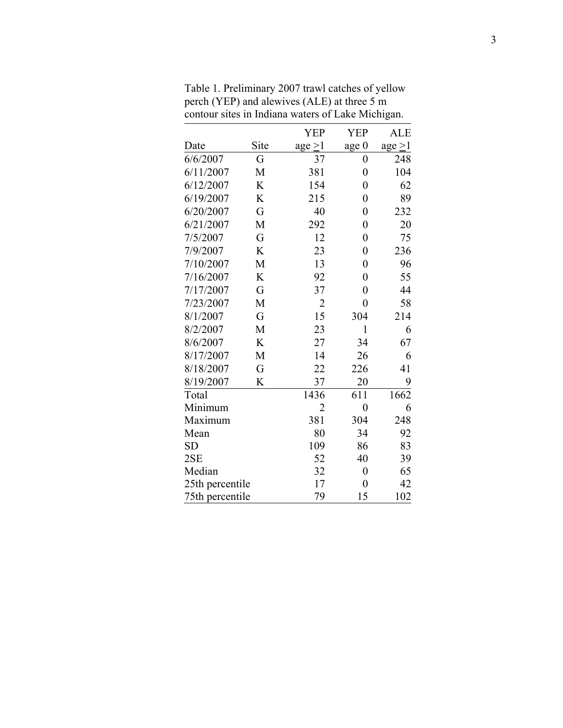|                 |      | <b>YEP</b>     | <b>YEP</b>       | <b>ALE</b>          |
|-----------------|------|----------------|------------------|---------------------|
| Date            | Site | $age \geq 1$   | age 0            | $\text{age} \geq 1$ |
| 6/6/2007        | G    | 37             | $\overline{0}$   | 248                 |
| 6/11/2007       | M    | 381            | $\overline{0}$   | 104                 |
| 6/12/2007       | K    | 154            | $\boldsymbol{0}$ | 62                  |
| 6/19/2007       | K    | 215            | $\overline{0}$   | 89                  |
| 6/20/2007       | G    | 40             | $\boldsymbol{0}$ | 232                 |
| 6/21/2007       | M    | 292            | $\overline{0}$   | 20                  |
| 7/5/2007        | G    | 12             | $\overline{0}$   | 75                  |
| 7/9/2007        | K    | 23             | $\overline{0}$   | 236                 |
| 7/10/2007       | M    | 13             | $\overline{0}$   | 96                  |
| 7/16/2007       | K    | 92             | $\boldsymbol{0}$ | 55                  |
| 7/17/2007       | G    | 37             | $\overline{0}$   | 44                  |
| 7/23/2007       | M    | $\overline{2}$ | $\overline{0}$   | 58                  |
| 8/1/2007        | G    | 15             | 304              | 214                 |
| 8/2/2007        | M    | 23             | $\mathbf{1}$     | 6                   |
| 8/6/2007        | K    | 27             | 34               | 67                  |
| 8/17/2007       | M    | 14             | 26               | 6                   |
| 8/18/2007       | G    | 22             | 226              | 41                  |
| 8/19/2007       | K    | 37             | 20               | 9                   |
| Total           |      | 1436           | 611              | 1662                |
| Minimum         |      | 2              | $\boldsymbol{0}$ | 6                   |
| Maximum         |      | 381            | 304              | 248                 |
| Mean            |      | 80             | 34               | 92                  |
| SD              |      | 109            | 86               | 83                  |
| 2SE             |      | 52             | 40               | 39                  |
| Median          |      | 32             | $\overline{0}$   | 65                  |
| 25th percentile |      | 17             | 0                | 42                  |
| 75th percentile |      | 79             | 15               | 102                 |

Table 1. Preliminary 2007 trawl catches of yellow perch (YEP) and alewives (ALE) at three 5 m contour sites in Indiana waters of Lake Michigan.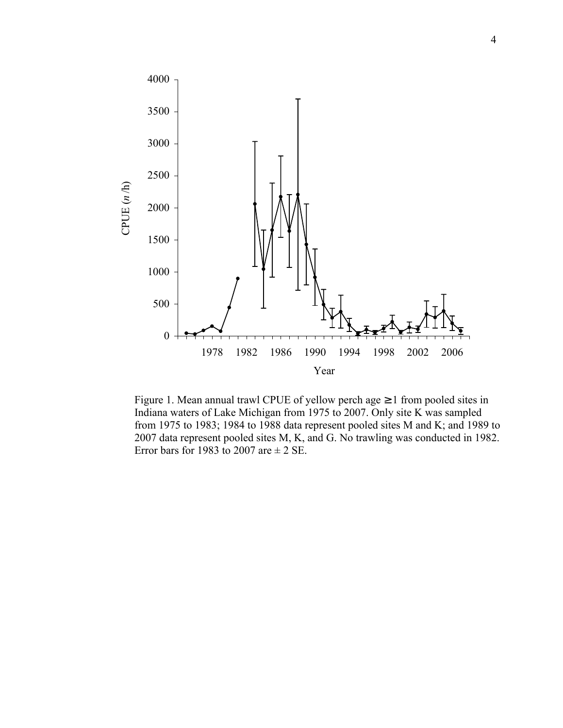

Figure 1. Mean annual trawl CPUE of yellow perch age  $\geq 1$  from pooled sites in Indiana waters of Lake Michigan from 1975 to 2007. Only site K was sampled from 1975 to 1983; 1984 to 1988 data represent pooled sites M and K; and 1989 to 2007 data represent pooled sites M, K, and G. No trawling was conducted in 1982. Error bars for 1983 to 2007 are  $\pm$  2 SE.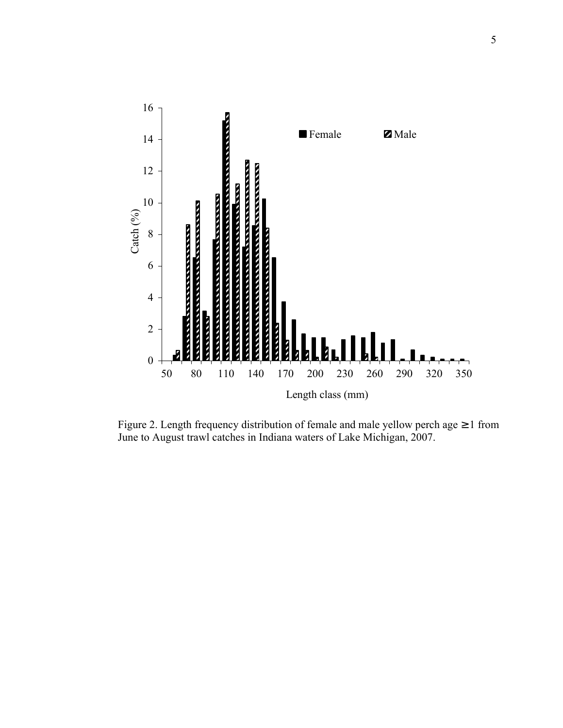

Figure 2. Length frequency distribution of female and male yellow perch age ≥ 1 from June to August trawl catches in Indiana waters of Lake Michigan, 2007.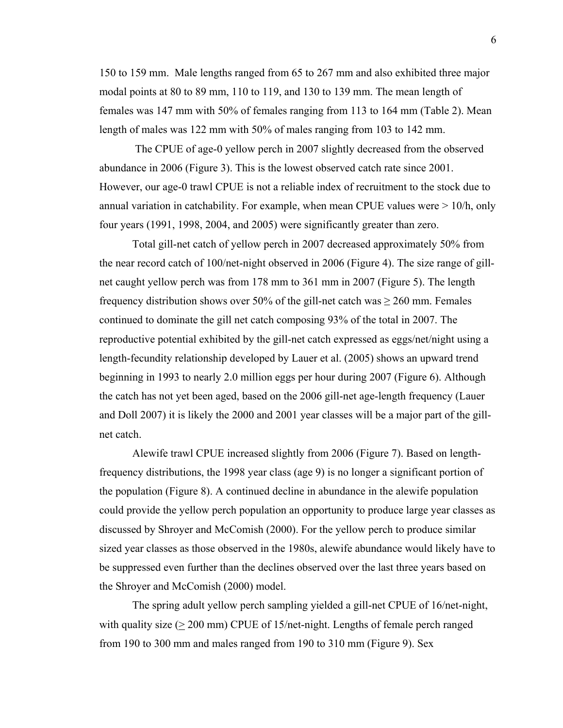150 to 159 mm. Male lengths ranged from 65 to 267 mm and also exhibited three major modal points at 80 to 89 mm, 110 to 119, and 130 to 139 mm. The mean length of females was 147 mm with 50% of females ranging from 113 to 164 mm (Table 2). Mean length of males was 122 mm with 50% of males ranging from 103 to 142 mm.

 The CPUE of age-0 yellow perch in 2007 slightly decreased from the observed abundance in 2006 (Figure 3). This is the lowest observed catch rate since 2001. However, our age-0 trawl CPUE is not a reliable index of recruitment to the stock due to annual variation in catchability. For example, when mean CPUE values were > 10/h, only four years (1991, 1998, 2004, and 2005) were significantly greater than zero.

Total gill-net catch of yellow perch in 2007 decreased approximately 50% from the near record catch of 100/net-night observed in 2006 (Figure 4). The size range of gillnet caught yellow perch was from 178 mm to 361 mm in 2007 (Figure 5). The length frequency distribution shows over 50% of the gill-net catch was  $\geq$  260 mm. Females continued to dominate the gill net catch composing 93% of the total in 2007. The reproductive potential exhibited by the gill-net catch expressed as eggs/net/night using a length-fecundity relationship developed by Lauer et al. (2005) shows an upward trend beginning in 1993 to nearly 2.0 million eggs per hour during 2007 (Figure 6). Although the catch has not yet been aged, based on the 2006 gill-net age-length frequency (Lauer and Doll 2007) it is likely the 2000 and 2001 year classes will be a major part of the gillnet catch.

Alewife trawl CPUE increased slightly from 2006 (Figure 7). Based on lengthfrequency distributions, the 1998 year class (age 9) is no longer a significant portion of the population (Figure 8). A continued decline in abundance in the alewife population could provide the yellow perch population an opportunity to produce large year classes as discussed by Shroyer and McComish (2000). For the yellow perch to produce similar sized year classes as those observed in the 1980s, alewife abundance would likely have to be suppressed even further than the declines observed over the last three years based on the Shroyer and McComish (2000) model.

The spring adult yellow perch sampling yielded a gill-net CPUE of 16/net-night, with quality size  $(>= 200 \text{ mm})$  CPUE of 15/net-night. Lengths of female perch ranged from 190 to 300 mm and males ranged from 190 to 310 mm (Figure 9). Sex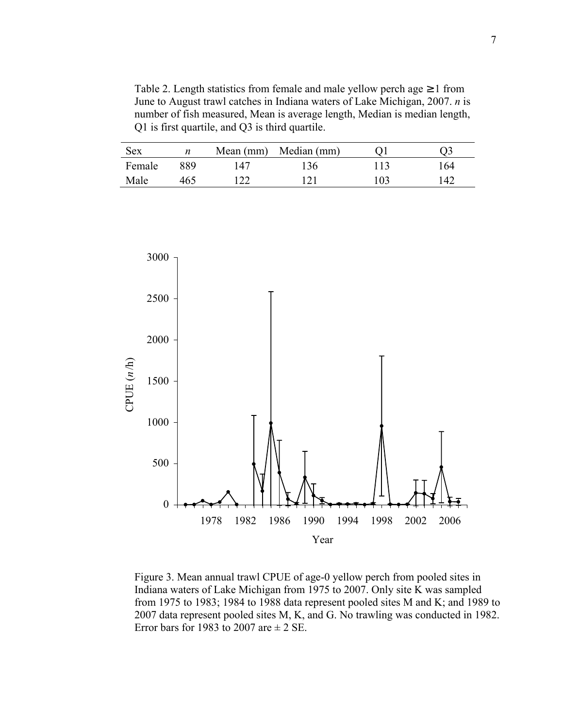Table 2. Length statistics from female and male yellow perch age  $\geq 1$  from June to August trawl catches in Indiana waters of Lake Michigan, 2007. *n* is number of fish measured, Mean is average length, Median is median length, Q1 is first quartile, and Q3 is third quartile.

| <b>Sex</b> |     |     | Mean (mm) Median (mm) |     |            |
|------------|-----|-----|-----------------------|-----|------------|
| Female     | 889 | 147 | 36                    | 113 | 164        |
| Male       | 465 |     | ∣ າ 1                 | 103 | $\Delta$ 2 |



Figure 3. Mean annual trawl CPUE of age-0 yellow perch from pooled sites in Indiana waters of Lake Michigan from 1975 to 2007. Only site K was sampled from 1975 to 1983; 1984 to 1988 data represent pooled sites M and K; and 1989 to 2007 data represent pooled sites M, K, and G. No trawling was conducted in 1982. Error bars for 1983 to 2007 are  $\pm$  2 SE.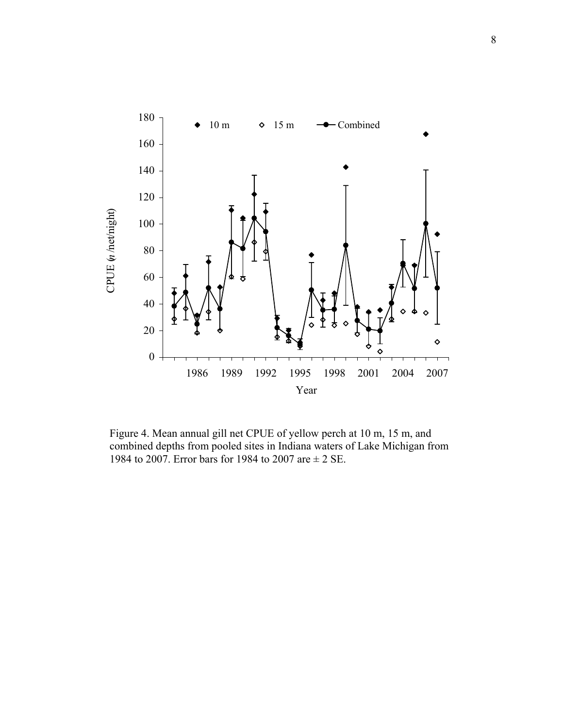

Figure 4. Mean annual gill net CPUE of yellow perch at 10 m, 15 m, and combined depths from pooled sites in Indiana waters of Lake Michigan from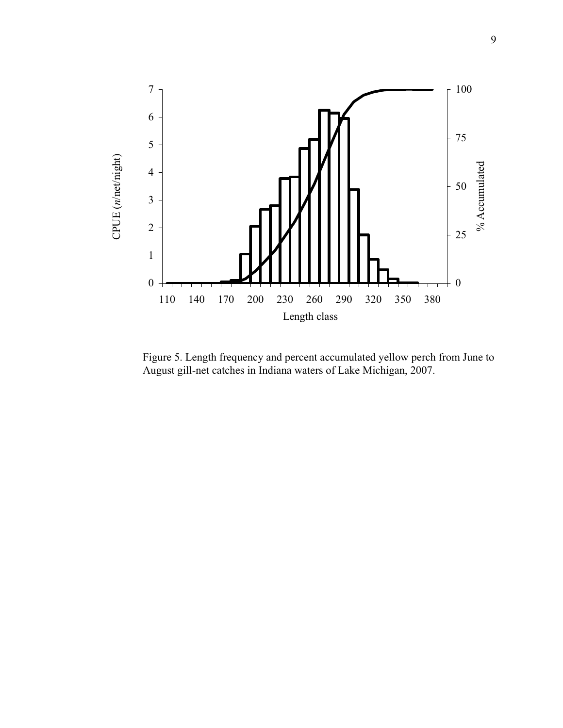

Figure 5. Length frequency and percent accumulated yellow perch from June to August gill-net catches in Indiana waters of Lake Michigan, 2007.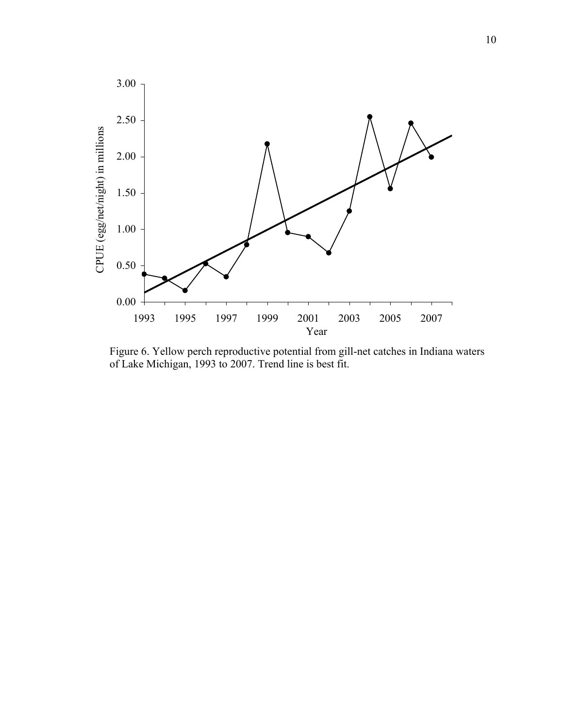

Figure 6. Yellow perch reproductive potential from gill-net catches in Indiana waters of Lake Michigan, 1993 to 2007. Trend line is best fit.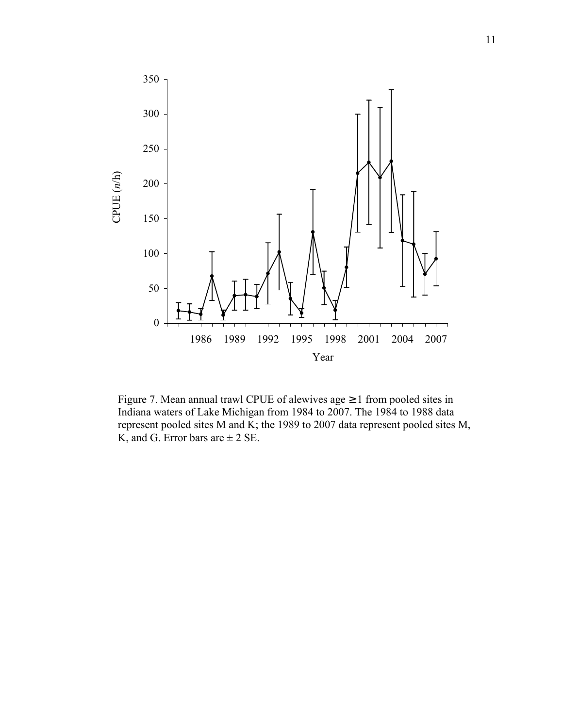

Figure 7. Mean annual trawl CPUE of alewives age  $\geq 1$  from pooled sites in Indiana waters of Lake Michigan from 1984 to 2007. The 1984 to 1988 data represent pooled sites M and K; the 1989 to 2007 data represent pooled sites M,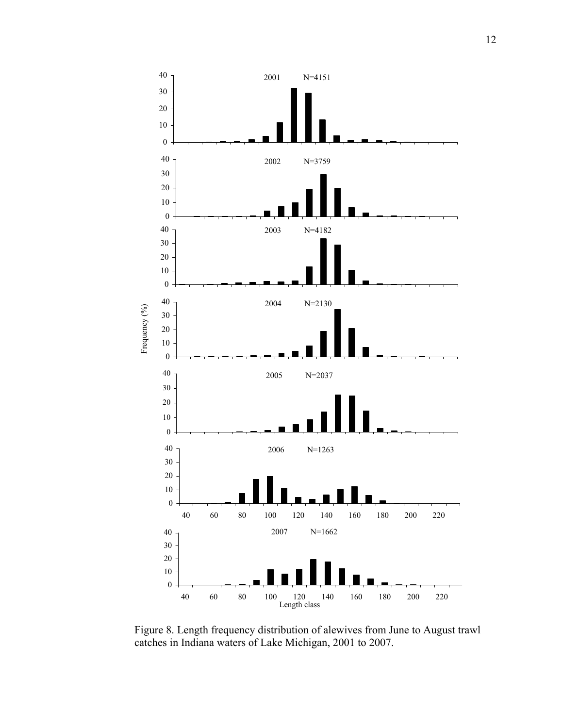

Figure 8. Length frequency distribution of alewives from June to August trawl catches in Indiana waters of Lake Michigan, 2001 to 2007.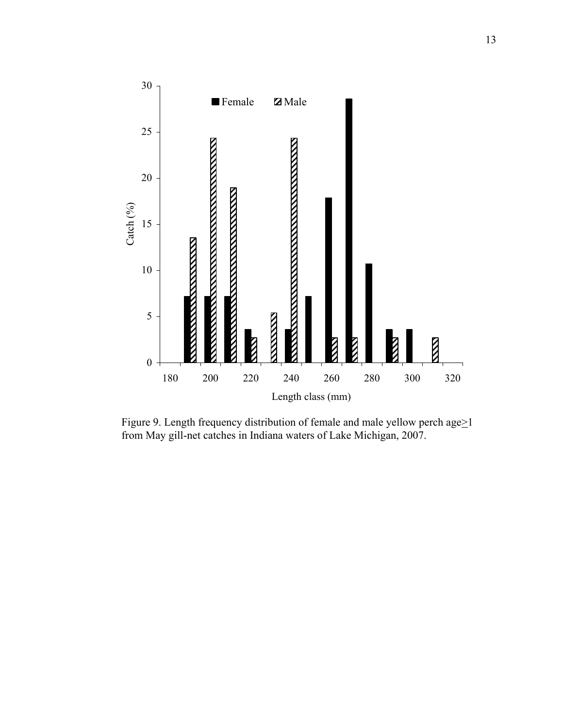

Figure 9. Length frequency distribution of female and male yellow perch age>1 from May gill-net catches in Indiana waters of Lake Michigan, 2007.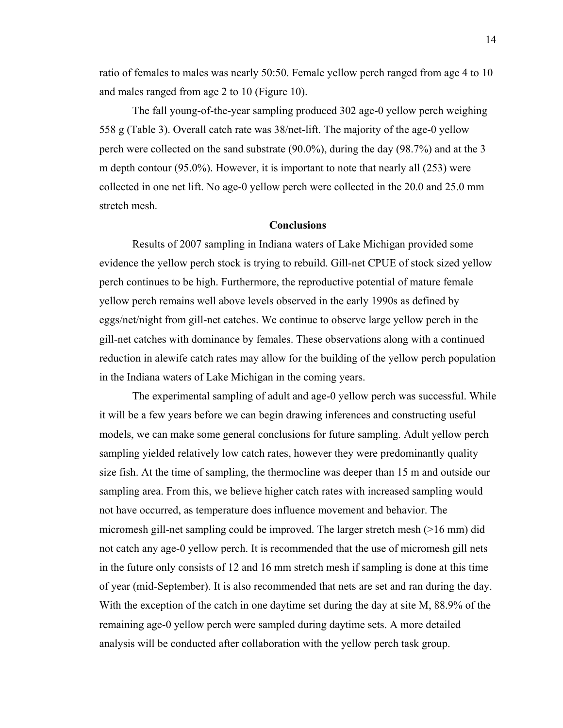ratio of females to males was nearly 50:50. Female yellow perch ranged from age 4 to 10 and males ranged from age 2 to 10 (Figure 10).

 The fall young-of-the-year sampling produced 302 age-0 yellow perch weighing 558 g (Table 3). Overall catch rate was 38/net-lift. The majority of the age-0 yellow perch were collected on the sand substrate (90.0%), during the day (98.7%) and at the 3 m depth contour (95.0%). However, it is important to note that nearly all (253) were collected in one net lift. No age-0 yellow perch were collected in the 20.0 and 25.0 mm stretch mesh.

## **Conclusions**

 Results of 2007 sampling in Indiana waters of Lake Michigan provided some evidence the yellow perch stock is trying to rebuild. Gill-net CPUE of stock sized yellow perch continues to be high. Furthermore, the reproductive potential of mature female yellow perch remains well above levels observed in the early 1990s as defined by eggs/net/night from gill-net catches. We continue to observe large yellow perch in the gill-net catches with dominance by females. These observations along with a continued reduction in alewife catch rates may allow for the building of the yellow perch population in the Indiana waters of Lake Michigan in the coming years.

 The experimental sampling of adult and age-0 yellow perch was successful. While it will be a few years before we can begin drawing inferences and constructing useful models, we can make some general conclusions for future sampling. Adult yellow perch sampling yielded relatively low catch rates, however they were predominantly quality size fish. At the time of sampling, the thermocline was deeper than 15 m and outside our sampling area. From this, we believe higher catch rates with increased sampling would not have occurred, as temperature does influence movement and behavior. The micromesh gill-net sampling could be improved. The larger stretch mesh (>16 mm) did not catch any age-0 yellow perch. It is recommended that the use of micromesh gill nets in the future only consists of 12 and 16 mm stretch mesh if sampling is done at this time of year (mid-September). It is also recommended that nets are set and ran during the day. With the exception of the catch in one daytime set during the day at site M, 88.9% of the remaining age-0 yellow perch were sampled during daytime sets. A more detailed analysis will be conducted after collaboration with the yellow perch task group.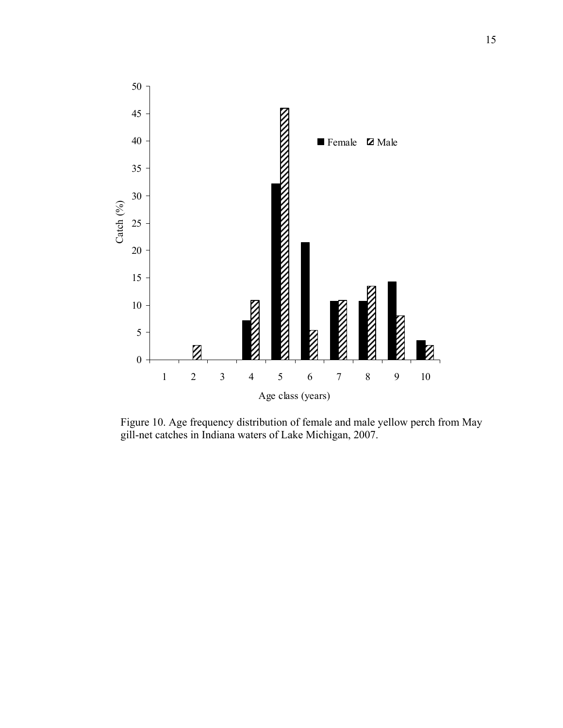

Figure 10. Age frequency distribution of female and male yellow perch from May gill-net catches in Indiana waters of Lake Michigan, 2007.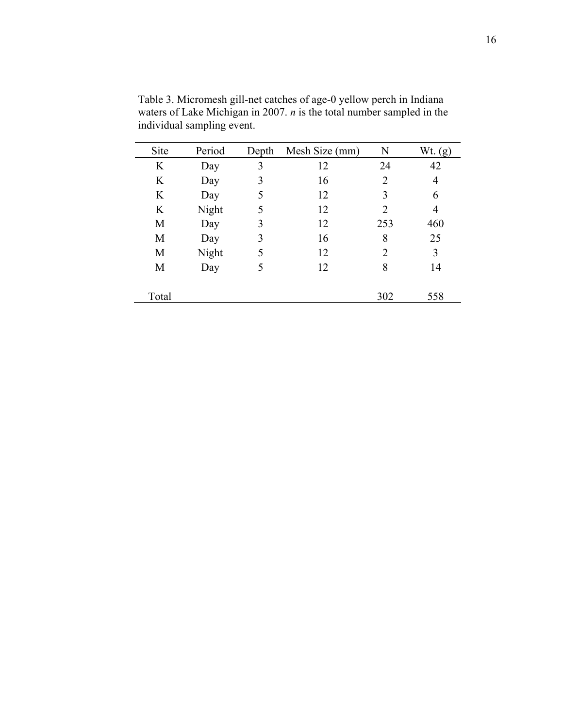| Site  | Period | Depth | Mesh Size (mm) | N              | Wt. $(g)$ |
|-------|--------|-------|----------------|----------------|-----------|
| K     | Day    | 3     | 12             | 24             | 42        |
| K     | Day    | 3     | 16             | $\overline{2}$ | 4         |
| K     | Day    | 5     | 12             | 3              | 6         |
| K     | Night  | 5     | 12             | 2              | 4         |
| M     | Day    | 3     | 12             | 253            | 460       |
| M     | Day    | 3     | 16             | 8              | 25        |
| M     | Night  | 5     | 12             | $\overline{2}$ | 3         |
| M     | Day    | 5     | 12             | 8              | 14        |
|       |        |       |                |                |           |
| Total |        |       |                | 302            | 558       |
|       |        |       |                |                |           |

Table 3. Micromesh gill-net catches of age-0 yellow perch in Indiana waters of Lake Michigan in 2007. *n* is the total number sampled in the individual sampling event.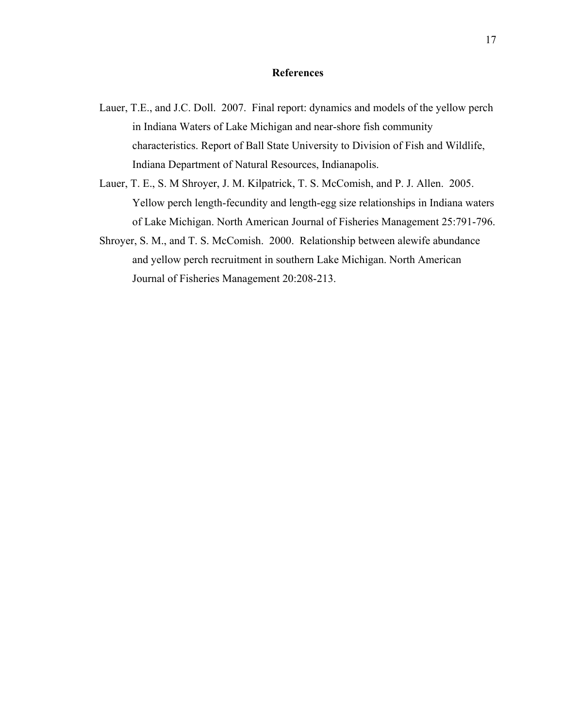#### **References**

- Lauer, T.E., and J.C. Doll. 2007. Final report: dynamics and models of the yellow perch in Indiana Waters of Lake Michigan and near-shore fish community characteristics. Report of Ball State University to Division of Fish and Wildlife, Indiana Department of Natural Resources, Indianapolis.
- Lauer, T. E., S. M Shroyer, J. M. Kilpatrick, T. S. McComish, and P. J. Allen. 2005. Yellow perch length-fecundity and length-egg size relationships in Indiana waters of Lake Michigan. North American Journal of Fisheries Management 25:791-796.
- Shroyer, S. M., and T. S. McComish. 2000. Relationship between alewife abundance and yellow perch recruitment in southern Lake Michigan. North American Journal of Fisheries Management 20:208-213.